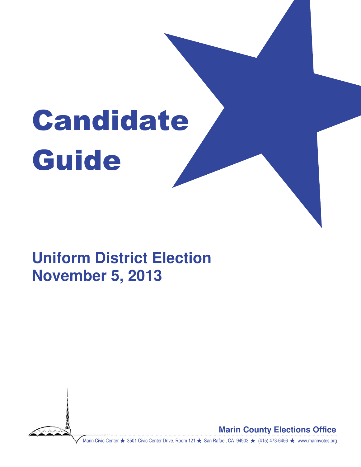# Candidate Guide

# **Uniform District Election November 5, 2013**



**Marin County Elections Office**

Marin Civic Center ★ 3501 Civic Center Drive, Room 121 ★ San Rafael, CA 94903 ★ (415) 473-6456 ★ www.marinvotes.org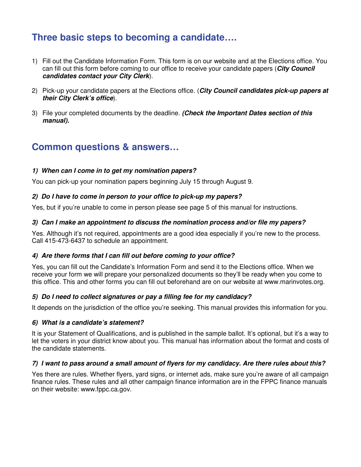# **Three basic steps to becoming a candidate….**

- 1) Fill out the Candidate Information Form. This form is on our website and at the Elections office. You can fill out this form before coming to our office to receive your candidate papers (**City Council candidates contact your City Clerk**).
- 2) Pick-up your candidate papers at the Elections office. (**City Council candidates pick-up papers at their City Clerk's office**).
- 3) File your completed documents by the deadline. **(Check the Important Dates section of this manual).**

# **Common questions & answers…**

#### **1) When can I come in to get my nomination papers?**

You can pick-up your nomination papers beginning July 15 through August 9.

#### **2) Do I have to come in person to your office to pick-up my papers?**

Yes, but if you're unable to come in person please see page 5 of this manual for instructions.

#### **3) Can I make an appointment to discuss the nomination process and/or file my papers?**

Yes. Although it's not required, appointments are a good idea especially if you're new to the process. Call 415-473-6437 to schedule an appointment.

#### **4) Are there forms that I can fill out before coming to your office?**

Yes, you can fill out the Candidate's Information Form and send it to the Elections office. When we receive your form we will prepare your personalized documents so they'll be ready when you come to this office. This and other forms you can fill out beforehand are on our website at www.marinvotes.org.

#### **5) Do I need to collect signatures or pay a filling fee for my candidacy?**

It depends on the jurisdiction of the office you're seeking. This manual provides this information for you.

#### **6) What is a candidate's statement?**

It is your Statement of Qualifications, and is published in the sample ballot. It's optional, but it's a way to let the voters in your district know about you. This manual has information about the format and costs of the candidate statements.

#### **7) I want to pass around a small amount of flyers for my candidacy. Are there rules about this?**

Yes there are rules. Whether flyers, yard signs, or internet ads, make sure you're aware of all campaign finance rules. These rules and all other campaign finance information are in the FPPC finance manuals on their website: www.fppc.ca.gov.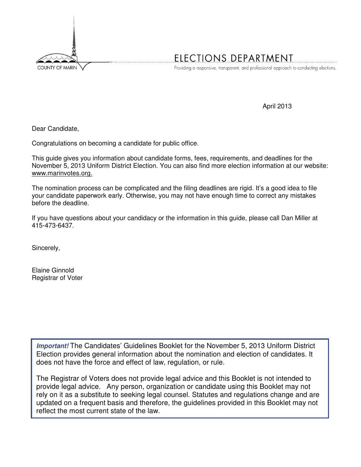

# ELECTIONS DEPARTMENT

Providing a responsive, transparent, and professional approach to conducting elections.

April 2013

Dear Candidate,

Congratulations on becoming a candidate for public office.

This guide gives you information about candidate forms, fees, requirements, and deadlines for the November 5, 2013 Uniform District Election. You can also find more election information at our website: www.marinvotes.org.

The nomination process can be complicated and the filing deadlines are rigid. It's a good idea to file your candidate paperwork early. Otherwise, you may not have enough time to correct any mistakes before the deadline.

If you have questions about your candidacy or the information in this guide, please call Dan Miller at 415-473-6437.

Sincerely,

Elaine Ginnold Registrar of Voter

**Important!** The Candidates' Guidelines Booklet for the November 5, 2013 Uniform District Election provides general information about the nomination and election of candidates. It does not have the force and effect of law, regulation, or rule.

The Registrar of Voters does not provide legal advice and this Booklet is not intended to provide legal advice. Any person, organization or candidate using this Booklet may not rely on it as a substitute to seeking legal counsel. Statutes and regulations change and are updated on a frequent basis and therefore, the guidelines provided in this Booklet may not reflect the most current state of the law.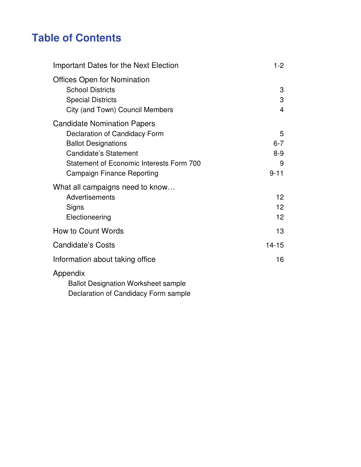# **Table of Contents**

| <b>Important Dates for the Next Election</b>                                                                                                                                                                | $1-2$                                    |
|-------------------------------------------------------------------------------------------------------------------------------------------------------------------------------------------------------------|------------------------------------------|
| <b>Offices Open for Nomination</b><br><b>School Districts</b><br><b>Special Districts</b><br>City (and Town) Council Members                                                                                | 3<br>3<br>$\overline{\mathbf{4}}$        |
| <b>Candidate Nomination Papers</b><br>Declaration of Candidacy Form<br><b>Ballot Designations</b><br><b>Candidate's Statement</b><br>Statement of Economic Interests Form 700<br>Campaign Finance Reporting | 5<br>$6 - 7$<br>$8 - 9$<br>9<br>$9 - 11$ |
| What all campaigns need to know<br>Advertisements<br>Signs<br>Electioneering                                                                                                                                | 12<br>12 <sup>2</sup><br>12              |
| How to Count Words                                                                                                                                                                                          | 13                                       |
| <b>Candidate's Costs</b>                                                                                                                                                                                    | $14 - 15$                                |
| Information about taking office                                                                                                                                                                             | 16                                       |
| Appendix<br><b>Dellot Degianation Warkshoot comple</b>                                                                                                                                                      |                                          |

 Ballot Designation Worksheet sample Declaration of Candidacy Form sample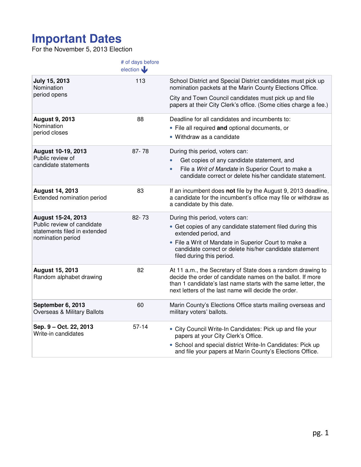# **Important Dates**

For the November 5, 2013 Election

|                                                                                 | # of days before<br>election |                                                                                                                                                                                                                                                    |
|---------------------------------------------------------------------------------|------------------------------|----------------------------------------------------------------------------------------------------------------------------------------------------------------------------------------------------------------------------------------------------|
| <b>July 15, 2013</b><br>Nomination                                              | 113                          | School District and Special District candidates must pick up<br>nomination packets at the Marin County Elections Office.                                                                                                                           |
| period opens                                                                    |                              | City and Town Council candidates must pick up and file<br>papers at their City Clerk's office. (Some cities charge a fee.)                                                                                                                         |
| <b>August 9, 2013</b><br>Nomination                                             | 88                           | Deadline for all candidates and incumbents to:<br>• File all required and optional documents, or                                                                                                                                                   |
| period closes                                                                   |                              | • Withdraw as a candidate                                                                                                                                                                                                                          |
| August 10-19, 2013<br>Public review of                                          | $87 - 78$                    | During this period, voters can:                                                                                                                                                                                                                    |
| candidate statements                                                            |                              | Get copies of any candidate statement, and                                                                                                                                                                                                         |
|                                                                                 |                              | File a Writ of Mandate in Superior Court to make a<br>$\bullet$<br>candidate correct or delete his/her candidate statement.                                                                                                                        |
| <b>August 14, 2013</b><br>Extended nomination period                            | 83                           | If an incumbent does not file by the August 9, 2013 deadline,<br>a candidate for the incumbent's office may file or withdraw as<br>a candidate by this date.                                                                                       |
| August 15-24, 2013                                                              | 82-73                        | During this period, voters can:                                                                                                                                                                                                                    |
| Public review of candidate<br>statements filed in extended<br>nomination period |                              | • Get copies of any candidate statement filed during this<br>extended period, and                                                                                                                                                                  |
|                                                                                 |                              | • File a Writ of Mandate in Superior Court to make a<br>candidate correct or delete his/her candidate statement<br>filed during this period.                                                                                                       |
| <b>August 15, 2013</b><br>Random alphabet drawing                               | 82                           | At 11 a.m., the Secretary of State does a random drawing to<br>decide the order of candidate names on the ballot. If more<br>than 1 candidate's last name starts with the same letter, the<br>next letters of the last name will decide the order. |
| September 6, 2013<br><b>Overseas &amp; Military Ballots</b>                     | 60                           | Marin County's Elections Office starts mailing overseas and<br>military voters' ballots.                                                                                                                                                           |
| Sep. 9 - Oct. 22, 2013<br>Write-in candidates                                   | $57-14$                      | • City Council Write-In Candidates: Pick up and file your<br>papers at your City Clerk's Office.                                                                                                                                                   |
|                                                                                 |                              | • School and special district Write-In Candidates: Pick up<br>and file your papers at Marin County's Elections Office.                                                                                                                             |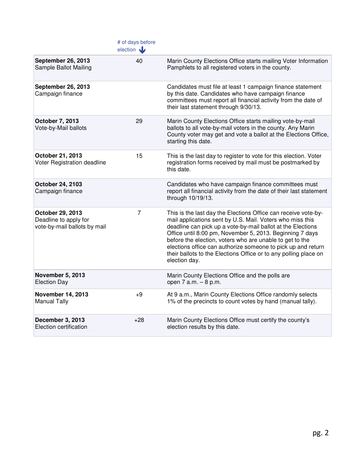|                                                                           | # of days before<br>election |                                                                                                                                                                                                                                                                                                                                                                                                                                                                         |
|---------------------------------------------------------------------------|------------------------------|-------------------------------------------------------------------------------------------------------------------------------------------------------------------------------------------------------------------------------------------------------------------------------------------------------------------------------------------------------------------------------------------------------------------------------------------------------------------------|
| <b>September 26, 2013</b><br>Sample Ballot Mailing                        | 40                           | Marin County Elections Office starts mailing Voter Information<br>Pamphlets to all registered voters in the county.                                                                                                                                                                                                                                                                                                                                                     |
| <b>September 26, 2013</b><br>Campaign finance                             |                              | Candidates must file at least 1 campaign finance statement<br>by this date. Candidates who have campaign finance<br>committees must report all financial activity from the date of<br>their last statement through 9/30/13.                                                                                                                                                                                                                                             |
| October 7, 2013<br>Vote-by-Mail ballots                                   | 29                           | Marin County Elections Office starts mailing vote-by-mail<br>ballots to all vote-by-mail voters in the county. Any Marin<br>County voter may get and vote a ballot at the Elections Office,<br>starting this date.                                                                                                                                                                                                                                                      |
| October 21, 2013<br>Voter Registration deadline                           | 15                           | This is the last day to register to vote for this election. Voter<br>registration forms received by mail must be postmarked by<br>this date.                                                                                                                                                                                                                                                                                                                            |
| October 24, 2103<br>Campaign finance                                      |                              | Candidates who have campaign finance committees must<br>report all financial activity from the date of their last statement<br>through 10/19/13.                                                                                                                                                                                                                                                                                                                        |
| October 29, 2013<br>Deadline to apply for<br>vote-by-mail ballots by mail | 7                            | This is the last day the Elections Office can receive vote-by-<br>mail applications sent by U.S. Mail. Voters who miss this<br>deadline can pick up a vote-by-mail ballot at the Elections<br>Office until 8:00 pm, November 5, 2013. Beginning 7 days<br>before the election, voters who are unable to get to the<br>elections office can authorize someone to pick up and return<br>their ballots to the Elections Office or to any polling place on<br>election day. |
| <b>November 5, 2013</b><br><b>Election Day</b>                            |                              | Marin County Elections Office and the polls are<br>open 7 a.m. - 8 p.m.                                                                                                                                                                                                                                                                                                                                                                                                 |
| <b>November 14, 2013</b><br><b>Manual Tally</b>                           | $+9$                         | At 9 a.m., Marin County Elections Office randomly selects<br>1% of the precincts to count votes by hand (manual tally).                                                                                                                                                                                                                                                                                                                                                 |
| December 3, 2013<br>Election certification                                | $+28$                        | Marin County Elections Office must certify the county's<br>election results by this date.                                                                                                                                                                                                                                                                                                                                                                               |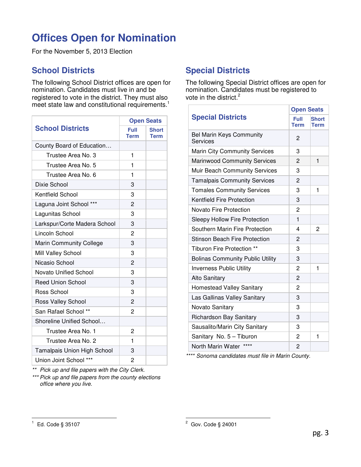# **Offices Open for Nomination**

For the November 5, 2013 Election

## **School Districts**

The following School District offices are open for nomination. Candidates must live in and be registered to vote in the district. They must also meet state law and constitutional requirements.<sup>1</sup>

|                                |                | <b>Open Seats</b>           |
|--------------------------------|----------------|-----------------------------|
| <b>School Districts</b>        | Full<br>Term   | <b>Short</b><br><b>Term</b> |
| County Board of Education      |                |                             |
| Trustee Area No. 3             | 1              |                             |
| Trustee Area No. 5             | 1              |                             |
| Trustee Area No. 6             | 1              |                             |
| Dixie School                   | 3              |                             |
| <b>Kentfield School</b>        | 3              |                             |
| Laguna Joint School ***        | $\overline{2}$ |                             |
| Lagunitas School               | 3              |                             |
| Larkspur/Corte Madera School   | 3              |                             |
| Lincoln School                 | 2              |                             |
| <b>Marin Community College</b> | 3              |                             |
| Mill Valley School             | 3              |                             |
| Nicasio School                 | 2              |                             |
| <b>Novato Unified School</b>   | 3              |                             |
| <b>Reed Union School</b>       | 3              |                             |
| Ross School                    | 3              |                             |
| Ross Valley School             | 2              |                             |
| San Rafael School **           | 2              |                             |
| Shoreline Unified School       |                |                             |
| Trustee Area No. 1             | 2              |                             |
| Trustee Area No. 2             | 1              |                             |
| Tamalpais Union High School    | 3              |                             |
| Union Joint School ***         | 2              |                             |

\*\* Pick up and file papers with the City Clerk.

\*\*\* Pick up and file papers from the county elections office where you live.

# **Special Districts**

The following Special District offices are open for nomination. Candidates must be registered to vote in the district.<sup>2</sup>

|                                             | <b>Open Seats</b> |              |
|---------------------------------------------|-------------------|--------------|
| <b>Special Districts</b>                    | Full              | <b>Short</b> |
|                                             | <b>Term</b>       | <b>Term</b>  |
| <b>Bel Marin Keys Community</b><br>Services | 2                 |              |
| <b>Marin City Community Services</b>        | 3                 |              |
| <b>Marinwood Community Services</b>         | $\overline{2}$    | 1            |
| Muir Beach Community Services               | 3                 |              |
| <b>Tamalpais Community Services</b>         | 2                 |              |
| <b>Tomales Community Services</b>           | 3                 | 1            |
| <b>Kentfield Fire Protection</b>            | 3                 |              |
| Novato Fire Protection                      | 2                 |              |
| Sleepy Hollow Fire Protection               | $\mathbf{1}$      |              |
| Southern Marin Fire Protection              | 4                 | 2            |
| <b>Stinson Beach Fire Protection</b>        | 2                 |              |
| Tiburon Fire Protection **                  | 3                 |              |
| <b>Bolinas Community Public Utility</b>     | 3                 |              |
| <b>Inverness Public Utility</b>             | 2                 | 1            |
| <b>Alto Sanitary</b>                        | $\overline{2}$    |              |
| <b>Homestead Valley Sanitary</b>            | 2                 |              |
| Las Gallinas Valley Sanitary                | 3                 |              |
| Novato Sanitary                             | 3                 |              |
| Richardson Bay Sanitary                     | 3                 |              |
| Sausalito/Marin City Sanitary               | 3                 |              |
| Sanitary No. 5 - Tiburon                    | 2                 | 1            |
| ****<br>North Marin Water                   | 2                 |              |

\*\*\*\* Sonoma candidates must file in Marin County.

 $\overline{a}$ 1 Ed. Code § 35107

 2 Gov. Code § 24001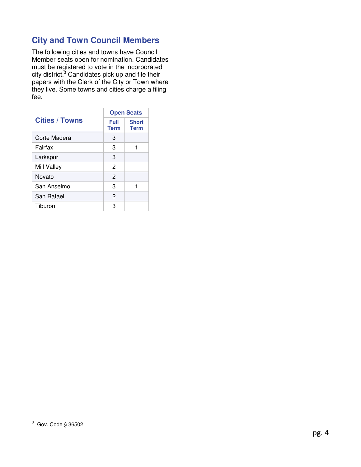# **City and Town Council Members**

The following cities and towns have Council Member seats open for nomination. Candidates must be registered to vote in the incorporated city district.<sup>3</sup> Candidates pick up and file their papers with the Clerk of the City or Town where they live. Some towns and cities charge a filing fee.

|                       |                            | <b>Open Seats</b>           |
|-----------------------|----------------------------|-----------------------------|
| <b>Cities / Towns</b> | <b>Full</b><br><b>Term</b> | <b>Short</b><br><b>Term</b> |
| Corte Madera          | 3                          |                             |
| Fairfax               | 3                          |                             |
| Larkspur              | 3                          |                             |
| Mill Valley           | 2                          |                             |
| Novato                | 2                          |                             |
| San Anselmo           | 3                          |                             |
| San Rafael            | $\mathfrak{p}$             |                             |
| Tiburon               | з                          |                             |

 3 Gov. Code § 36502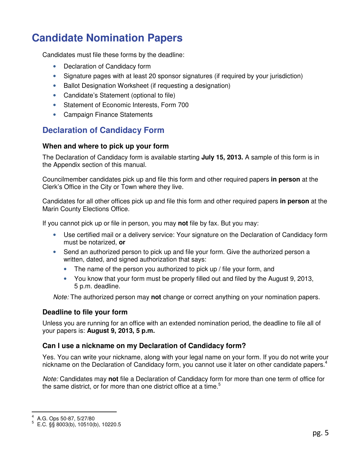# **Candidate Nomination Papers**

Candidates must file these forms by the deadline:

- Declaration of Candidacy form
- Signature pages with at least 20 sponsor signatures (if required by your jurisdiction)
- Ballot Designation Worksheet (if requesting a designation)
- Candidate's Statement (optional to file)
- Statement of Economic Interests, Form 700
- Campaign Finance Statements

## **Declaration of Candidacy Form**

#### **When and where to pick up your form**

The Declaration of Candidacy form is available starting **July 15, 2013.** A sample of this form is in the Appendix section of this manual.

Councilmember candidates pick up and file this form and other required papers **in person** at the Clerk's Office in the City or Town where they live.

Candidates for all other offices pick up and file this form and other required papers **in person** at the Marin County Elections Office.

If you cannot pick up or file in person, you may **not** file by fax. But you may:

- Use certified mail or a delivery service: Your signature on the Declaration of Candidacy form must be notarized, **or**
- Send an authorized person to pick up and file your form. Give the authorized person a written, dated, and signed authorization that says:
	- The name of the person you authorized to pick up / file your form, and
	- You know that your form must be properly filled out and filed by the August 9, 2013, 5 p.m. deadline.

Note: The authorized person may **not** change or correct anything on your nomination papers.

#### **Deadline to file your form**

Unless you are running for an office with an extended nomination period, the deadline to file all of your papers is: **August 9, 2013, 5 p.m.**

#### **Can I use a nickname on my Declaration of Candidacy form?**

Yes. You can write your nickname, along with your legal name on your form. If you do not write your nickname on the Declaration of Candidacy form, you cannot use it later on other candidate papers.<sup>4</sup>

Note: Candidates may **not** file a Declaration of Candidacy form for more than one term of office for the same district, or for more than one district office at a time.<sup>5</sup>

 $\overline{\phantom{a}}$ 4 A.G. Ops 50-87, 5/27/80

<sup>5</sup> E.C. §§ 8003(b), 10510(b), 10220.5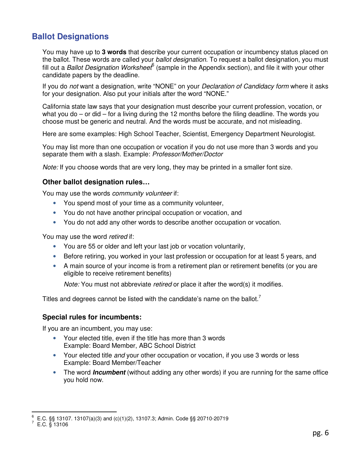## **Ballot Designations**

You may have up to **3 words** that describe your current occupation or incumbency status placed on the ballot. These words are called your *ballot designation*. To request a ballot designation, you must fill out a Ballot Designation Worksheet  $^6$  (sample in the Appendix section), and file it with your other candidate papers by the deadline.

If you do not want a designation, write "NONE" on your *Declaration of Candidacy form* where it asks for your designation. Also put your initials after the word "NONE."

California state law says that your designation must describe your current profession, vocation, or what you do – or did – for a living during the 12 months before the filing deadline. The words you choose must be generic and neutral. And the words must be accurate, and not misleading.

Here are some examples: High School Teacher, Scientist, Emergency Department Neurologist.

You may list more than one occupation or vocation if you do not use more than 3 words and you separate them with a slash. Example: Professor/Mother/Doctor

Note: If you choose words that are very long, they may be printed in a smaller font size.

#### **Other ballot designation rules…**

You may use the words *community volunteer* if:

- You spend most of your time as a community volunteer,
- You do not have another principal occupation or vocation, and
- You do not add any other words to describe another occupation or vocation.

You may use the word retired if:

- You are 55 or older and left your last job or vocation voluntarily,
- Before retiring, you worked in your last profession or occupation for at least 5 years, and
- A main source of your income is from a retirement plan or retirement benefits (or you are eligible to receive retirement benefits)

Note: You must not abbreviate retired or place it after the word(s) it modifies.

Titles and degrees cannot be listed with the candidate's name on the ballot.<sup>7</sup>

#### **Special rules for incumbents:**

If you are an incumbent, you may use:

- Your elected title, even if the title has more than 3 words Example: Board Member, ABC School District
- Your elected title and your other occupation or vocation, if you use 3 words or less Example: Board Member/Teacher
- The word **Incumbent** (without adding any other words) if you are running for the same office you hold now.

 6 E.C. §§ 13107. 13107(a)(3) and (c)(1)(2), 13107.3; Admin. Code §§ 20710-20719

 $^7$  E.C.  $\frac{8}{3}$  13106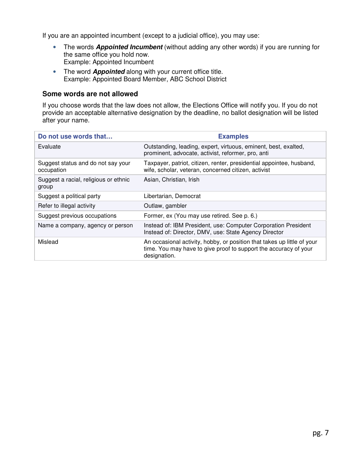If you are an appointed incumbent (except to a judicial office), you may use:

- The words **Appointed Incumbent** (without adding any other words) if you are running for the same office you hold now. Example: Appointed Incumbent
- The word **Appointed** along with your current office title. Example: Appointed Board Member, ABC School District

#### **Some words are not allowed**

If you choose words that the law does not allow, the Elections Office will notify you. If you do not provide an acceptable alternative designation by the deadline, no ballot designation will be listed after your name.

| Do not use words that                            | <b>Examples</b>                                                                                                                                             |
|--------------------------------------------------|-------------------------------------------------------------------------------------------------------------------------------------------------------------|
| Evaluate                                         | Outstanding, leading, expert, virtuous, eminent, best, exalted,<br>prominent, advocate, activist, reformer, pro, anti                                       |
| Suggest status and do not say your<br>occupation | Taxpayer, patriot, citizen, renter, presidential appointee, husband,<br>wife, scholar, veteran, concerned citizen, activist                                 |
| Suggest a racial, religious or ethnic<br>group   | Asian, Christian, Irish                                                                                                                                     |
| Suggest a political party                        | Libertarian, Democrat                                                                                                                                       |
| Refer to illegal activity                        | Outlaw, gambler                                                                                                                                             |
| Suggest previous occupations                     | Former, ex (You may use retired. See p. 6.)                                                                                                                 |
| Name a company, agency or person                 | Instead of: IBM President, use: Computer Corporation President<br>Instead of: Director, DMV, use: State Agency Director                                     |
| Mislead                                          | An occasional activity, hobby, or position that takes up little of your<br>time. You may have to give proof to support the accuracy of your<br>designation. |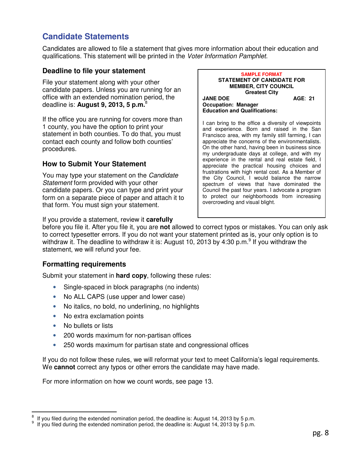# **Candidate Statements**

Candidates are allowed to file a statement that gives more information about their education and qualifications. This statement will be printed in the Voter Information Pamphlet.

#### **Deadline to file your statement**

File your statement along with your other candidate papers. Unless you are running for an office with an extended nomination period, the deadline is: **August 9, 2013, 5 p.m.**<sup>8</sup>

If the office you are running for covers more than 1 county, you have the option to print your statement in both counties. To do that, you must contact each county and follow both counties' procedures.

#### **How to Submit Your Statement**

You may type your statement on the Candidate Statement form provided with your other candidate papers. Or you can type and print your form on a separate piece of paper and attach it to that form. You must sign your statement.

If you provide a statement, review it **carefully**

**SAMPLE FORMAT STATEMENT OF CANDIDATE FOR MEMBER, CITY COUNCIL Greatest City JANE DOE AGE: 21 Occupation: Manager Education and Qualifications:** 

I can bring to the office a diversity of viewpoints and experience. Born and raised in the San Francisco area, with my family still farming, I can appreciate the concerns of the environmentalists. On the other hand, having been in business since my undergraduate days at college, and with my experience in the rental and real estate field, I appreciate the practical housing choices and frustrations with high rental cost. As a Member of the City Council, I would balance the narrow spectrum of views that have dominated the Council the past four years. I advocate a program to protect our neighborhoods from increasing overcrowding and visual blight.

before you file it. After you file it, you are **not** allowed to correct typos or mistakes. You can only ask to correct typesetter errors. If you do not want your statement printed as is, your only option is to withdraw it. The deadline to withdraw it is: August 10, 2013 by 4:30 p.m.<sup>9</sup> If you withdraw the statement, we will refund your fee.

#### **Formatting requirements**

Submit your statement in **hard copy**, following these rules:

- Single-spaced in block paragraphs (no indents)
- No ALL CAPS (use upper and lower case)
- No italics, no bold, no underlining, no highlights
- No extra exclamation points
- No bullets or lists
- 200 words maximum for non-partisan offices
- 250 words maximum for partisan state and congressional offices

If you do not follow these rules, we will reformat your text to meet California's legal requirements. We **cannot** correct any typos or other errors the candidate may have made.

For more information on how we count words, see page 13.

 $\overline{a}$ 8 If you filed during the extended nomination period, the deadline is: August 14, 2013 by 5 p.m.

<sup>9</sup> If you filed during the extended nomination period, the deadline is: August 14, 2013 by 5 p.m.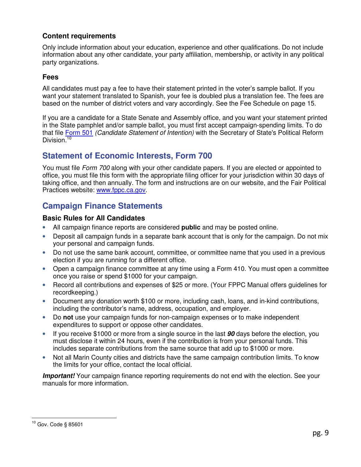#### **Content requirements**

Only include information about your education, experience and other qualifications. Do not include information about any other candidate, your party affiliation, membership, or activity in any political party organizations.

#### **Fees**

All candidates must pay a fee to have their statement printed in the voter's sample ballot. If you want your statement translated to Spanish, your fee is doubled plus a translation fee. The fees are based on the number of district voters and vary accordingly. See the Fee Schedule on page 15.

If you are a candidate for a State Senate and Assembly office, and you want your statement printed in the State pamphlet and/or sample ballot, you must first accept campaign-spending limits. To do that file Form 501 (Candidate Statement of Intention) with the Secretary of State's Political Reform Division.<sup>10</sup>

## **Statement of Economic Interests, Form 700**

You must file *Form 700* along with your other candidate papers. If you are elected or appointed to office, you must file this form with the appropriate filing officer for your jurisdiction within 30 days of taking office, and then annually. The form and instructions are on our website, and the Fair Political Practices website: www.fppc.ca.gov.

## **Campaign Finance Statements**

#### **Basic Rules for All Candidates**

- All campaign finance reports are considered **public** and may be posted online.
- Deposit all campaign funds in a separate bank account that is only for the campaign. Do not mix your personal and campaign funds.
- Do not use the same bank account, committee, or committee name that you used in a previous election if you are running for a different office.
- Open a campaign finance committee at any time using a Form 410. You must open a committee once you raise or spend \$1000 for your campaign.
- Record all contributions and expenses of \$25 or more. (Your FPPC Manual offers guidelines for recordkeeping.)
- Document any donation worth \$100 or more, including cash, loans, and in-kind contributions, including the contributor's name, address, occupation, and employer.
- Do **not** use your campaign funds for non-campaign expenses or to make independent expenditures to support or oppose other candidates.
- If you receive \$1000 or more from a single source in the last **90** days before the election, you must disclose it within 24 hours, even if the contribution is from your personal funds. This includes separate contributions from the same source that add up to \$1000 or more.
- Not all Marin County cities and districts have the same campaign contribution limits. To know the limits for your office, contact the local official.

**Important!** Your campaign finance reporting requirements do not end with the election. See your manuals for more information.

 $\overline{a}$ <sup>10</sup> Gov. Code § 85601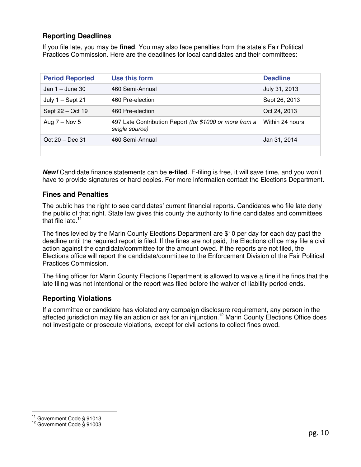#### **Reporting Deadlines**

If you file late, you may be **fined**. You may also face penalties from the state's Fair Political Practices Commission. Here are the deadlines for local candidates and their committees:

| <b>Period Reported</b> | Use this form                                                             | <b>Deadline</b> |
|------------------------|---------------------------------------------------------------------------|-----------------|
| Jan $1 -$ June 30      | 460 Semi-Annual                                                           | July 31, 2013   |
| July $1 -$ Sept 21     | 460 Pre-election                                                          | Sept 26, 2013   |
| Sept 22 - Oct 19       | 460 Pre-election                                                          | Oct 24, 2013    |
| Aug $7 -$ Nov 5        | 497 Late Contribution Report (for \$1000 or more from a<br>single source) | Within 24 hours |
| Oct $20 - Dec 31$      | 460 Semi-Annual                                                           | Jan 31, 2014    |
|                        |                                                                           |                 |

**New!** Candidate finance statements can be **e-filed**. E-filing is free, it will save time, and you won't have to provide signatures or hard copies. For more information contact the Elections Department.

#### **Fines and Penalties**

The public has the right to see candidates' current financial reports. Candidates who file late deny the public of that right. State law gives this county the authority to fine candidates and committees that file late. $11$ 

The fines levied by the Marin County Elections Department are \$10 per day for each day past the deadline until the required report is filed. If the fines are not paid, the Elections office may file a civil action against the candidate/committee for the amount owed. If the reports are not filed, the Elections office will report the candidate/committee to the Enforcement Division of the Fair Political Practices Commission.

The filing officer for Marin County Elections Department is allowed to waive a fine if he finds that the late filing was not intentional or the report was filed before the waiver of liability period ends.

#### **Reporting Violations**

If a committee or candidate has violated any campaign disclosure requirement, any person in the affected jurisdiction may file an action or ask for an injunction.<sup>12</sup> Marin County Elections Office does not investigate or prosecute violations, except for civil actions to collect fines owed.

 $\overline{a}$  $11$  Government Code § 91013

<sup>12</sup> Government Code § 91003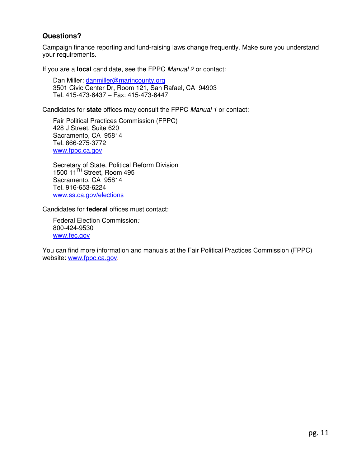#### **Questions?**

Campaign finance reporting and fund-raising laws change frequently. Make sure you understand your requirements.

If you are a **local** candidate, see the FPPC Manual 2 or contact:

Dan Miller: danmiller@marincounty.org 3501 Civic Center Dr, Room 121, San Rafael, CA 94903 Tel. 415-473-6437 – Fax: 415-473-6447

Candidates for **state** offices may consult the FPPC Manual 1 or contact:

Fair Political Practices Commission (FPPC) 428 J Street, Suite 620 Sacramento, CA 95814 Tel. 866-275-3772 www.fppc.ca.gov

Secretary of State, Political Reform Division 1500 11<sup>TH</sup> Street, Room 495 Sacramento, CA 95814 Tel. 916-653-6224 www.ss.ca.gov/elections

Candidates for **federal** offices must contact:

Federal Election Commission: 800-424-9530 www.fec.gov

You can find more information and manuals at the Fair Political Practices Commission (FPPC) website: www.fppc.ca.gov.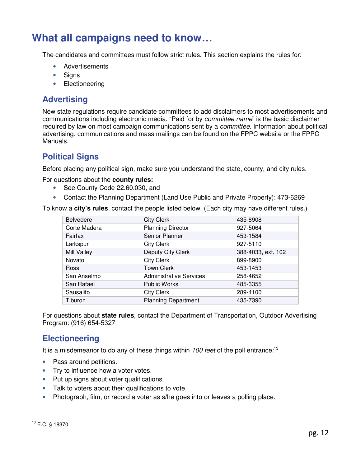# **What all campaigns need to know…**

The candidates and committees must follow strict rules. This section explains the rules for:

- Advertisements
- Signs
- Electioneering

## **Advertising**

New state regulations require candidate committees to add disclaimers to most advertisements and communications including electronic media. "Paid for by committee name" is the basic disclaimer required by law on most campaign communications sent by a *committee*. Information about political advertising, communications and mass mailings can be found on the FPPC website or the FPPC Manuals.

## **Political Signs**

Before placing any political sign, make sure you understand the state, county, and city rules.

For questions about the **county rules:**

- See County Code 22.60.030, and
- Contact the Planning Department (Land Use Public and Private Property): 473-6269

To know a **city's rules**, contact the people listed below. (Each city may have different rules.)

| <b>Belvedere</b> | <b>City Clerk</b>              | 435-8908           |
|------------------|--------------------------------|--------------------|
| Corte Madera     | <b>Planning Director</b>       | 927-5064           |
| Fairfax          | Senior Planner                 | 453-1584           |
| Larkspur         | <b>City Clerk</b>              | 927-5110           |
| Mill Valley      | Deputy City Clerk              | 388-4033, ext. 102 |
| Novato           | <b>City Clerk</b>              | 899-8900           |
| Ross             | <b>Town Clerk</b>              | 453-1453           |
| San Anselmo      | <b>Administrative Services</b> | 258-4652           |
| San Rafael       | <b>Public Works</b>            | 485-3355           |
| Sausalito        | <b>City Clerk</b>              | 289-4100           |
| Tiburon          | <b>Planning Department</b>     | 435-7390           |

For questions about **state rules**, contact the Department of Transportation, Outdoor Advertising Program: (916) 654-5327

## **Electioneering**

It is a misdemeanor to do any of these things within 100 feet of the poll entrance:<sup>13</sup>

- Pass around petitions.
- Try to influence how a voter votes.
- Put up signs about voter qualifications.
- Talk to voters about their qualifications to vote.
- Photograph, film, or record a voter as s/he goes into or leaves a polling place.

#### $\overline{a}$ <sup>13</sup> E.C. § 18370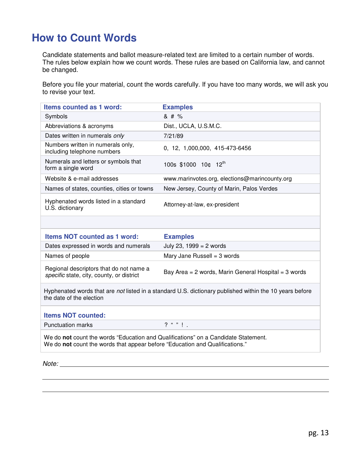# **How to Count Words**

Candidate statements and ballot measure-related text are limited to a certain number of words. The rules below explain how we count words. These rules are based on California law, and cannot be changed.

Before you file your material, count the words carefully. If you have too many words, we will ask you to revise your text.

| <b>Items counted as 1 word:</b>                                                      | <b>Examples</b>                                                                                         |
|--------------------------------------------------------------------------------------|---------------------------------------------------------------------------------------------------------|
| Symbols                                                                              | & # %                                                                                                   |
| Abbreviations & acronyms                                                             | Dist., UCLA, U.S.M.C.                                                                                   |
| Dates written in numerals only                                                       | 7/21/89                                                                                                 |
| Numbers written in numerals only,<br>including telephone numbers                     | 0, 12, 1,000,000, 415-473-6456                                                                          |
| Numerals and letters or symbols that<br>form a single word                           | 100s \$1000 10¢ 12th                                                                                    |
| Website & e-mail addresses                                                           | www.marinvotes.org, elections@marincounty.org                                                           |
| Names of states, counties, cities or towns                                           | New Jersey, County of Marin, Palos Verdes                                                               |
| Hyphenated words listed in a standard<br>U.S. dictionary                             | Attorney-at-law, ex-president                                                                           |
|                                                                                      |                                                                                                         |
| <b>Items NOT counted as 1 word:</b>                                                  | <b>Examples</b>                                                                                         |
| Dates expressed in words and numerals                                                | July 23, 1999 = $2$ words                                                                               |
| Names of people                                                                      | Mary Jane Russell = $3$ words                                                                           |
| Regional descriptors that do not name a<br>specific state, city, county, or district | Bay Area = 2 words, Marin General Hospital = 3 words                                                    |
| the date of the election                                                             | Hyphenated words that are not listed in a standard U.S. dictionary published within the 10 years before |
| <b>Items NOT counted:</b>                                                            |                                                                                                         |
|                                                                                      |                                                                                                         |
| <b>Punctuation marks</b>                                                             | $2^{n}$ $\frac{n}{2}$ $\frac{n}{2}$                                                                     |

Note: with a set of the set of the set of the set of the set of the set of the set of the set of the set of the set of the set of the set of the set of the set of the set of the set of the set of the set of the set of the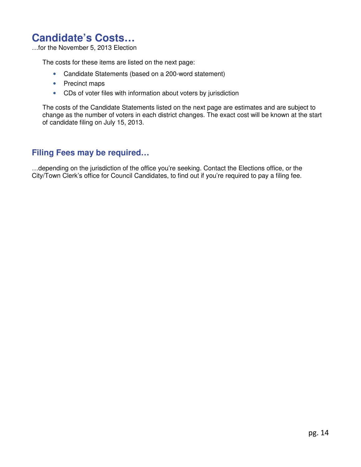# **Candidate's Costs…**

…for the November 5, 2013 Election

The costs for these items are listed on the next page:

- Candidate Statements (based on a 200-word statement)
- Precinct maps
- CDs of voter files with information about voters by jurisdiction

The costs of the Candidate Statements listed on the next page are estimates and are subject to change as the number of voters in each district changes. The exact cost will be known at the start of candidate filing on July 15, 2013.

### **Filing Fees may be required…**

…depending on the jurisdiction of the office you're seeking. Contact the Elections office, or the City/Town Clerk's office for Council Candidates, to find out if you're required to pay a filing fee.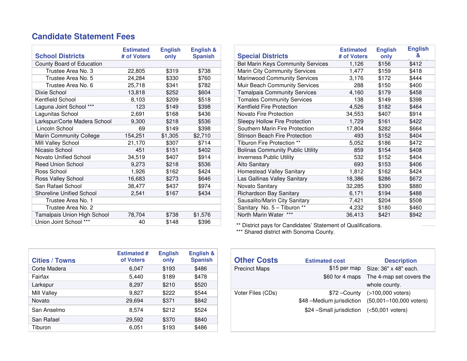## **Candidate Statement Fees**

| <b>School Districts</b>         | <b>Estimated</b><br># of Voters | <b>English</b><br>only | <b>English &amp;</b><br><b>Spanish</b> |
|---------------------------------|---------------------------------|------------------------|----------------------------------------|
| County Board of Education       |                                 |                        |                                        |
| Trustee Area No. 3              | 22,805                          | \$319                  | \$738                                  |
| Trustee Area No. 5              | 24,284                          | \$330                  | \$760                                  |
| Trustee Area No. 6              | 25,718                          | \$341                  | \$782                                  |
| Dixie School                    | 13,818                          | \$252                  | \$604                                  |
| Kentfield School                | 8,103                           | \$209                  | \$518                                  |
| Laguna Joint School ***         | 123                             | \$149                  | \$398                                  |
| Lagunitas School                | 2,691                           | \$168                  | \$436                                  |
| Larkspur/Corte Madera School    | 9,300                           | \$218                  | \$536                                  |
| Lincoln School                  | 69                              | \$149                  | \$398                                  |
| <b>Marin Community College</b>  | 154,251                         | \$1,305                | \$2,710                                |
| Mill Valley School              | 21,170                          | \$307                  | \$714                                  |
| Nicasio School                  | 451                             | \$151                  | \$402                                  |
| Novato Unified School           | 34,519                          | \$407                  | \$914                                  |
| <b>Reed Union School</b>        | 9,273                           | \$218                  | \$536                                  |
| Ross School                     | 1,926                           | \$162                  | \$424                                  |
| Ross Valley School              | 16,683                          | \$273                  | \$646                                  |
| San Rafael School               | 38,477                          | \$437                  | \$974                                  |
| <b>Shoreline Unified School</b> | 2,541                           | \$167                  | \$434                                  |
| Trustee Area No. 1              |                                 |                        |                                        |
| Trustee Area No. 2              |                                 |                        |                                        |
| Tamalpais Union High School     | 78,704                          | \$738                  | \$1,576                                |
| Union Joint School ***          | 40                              | \$148                  | \$396                                  |

|                          | <b>Estimated</b><br># of Voters | <b>English</b><br>only | English &<br><b>Spanish</b> |
|--------------------------|---------------------------------|------------------------|-----------------------------|
| ation                    |                                 |                        |                             |
| 3                        | 22,805                          | \$319                  | \$738                       |
| 5                        | 24,284                          | \$330                  | \$760                       |
| 6                        | 25,718                          | \$341                  | \$782                       |
|                          | 13,818                          | \$252                  | \$604                       |
|                          | 8,103                           | \$209                  | \$518                       |
| $\overline{\phantom{1}}$ | 123                             | \$149                  | \$398                       |
|                          | 2,691                           | \$168                  | \$436                       |
| a School                 | 9,300                           | \$218                  | \$536                       |
|                          | 69                              | \$149                  | \$398                       |
| ege                      | 154,251                         | \$1,305                | \$2,710                     |
|                          | 21,170                          | \$307                  | \$714                       |
|                          | 451                             | \$151                  | \$402                       |
|                          | 34,519                          | \$407                  | \$914                       |
|                          | 9,273                           | \$218                  | \$536                       |
|                          | 1,926                           | \$162                  | \$424                       |
|                          | 16,683                          | \$273                  | \$646                       |
|                          | 38,477                          | \$437                  | \$974                       |
| loc                      | 2,541                           | \$167                  | \$434                       |
|                          |                                 |                        |                             |
| $\overline{2}$           |                                 |                        |                             |
| School                   | 78,704                          | \$738                  | \$1,576                     |
|                          |                                 |                        |                             |

\*\* District pays for Candidates' Statement of Qualifications. \*\*\* Shared district with Sonoma County.

| <b>Cities / Towns</b> | <b>Estimated #</b><br>of Voters | <b>English</b><br>only | English &<br><b>Spanish</b> |  | <b>Other Costs</b>   | <b>Estimated cost</b>      | <b>Descriptio</b>    |
|-----------------------|---------------------------------|------------------------|-----------------------------|--|----------------------|----------------------------|----------------------|
| Corte Madera          | 6.047                           | \$193                  | \$486                       |  | <b>Precinct Maps</b> | $$15$ per map              | Size: 36" x 48" ea   |
| Fairfax               | 5.440                           | \$189                  | \$478                       |  |                      | \$60 for 4 maps            | The 4-map set cov    |
| Larkspur              | 8.297                           | \$210                  | \$520                       |  |                      |                            | whole county.        |
| Mill Valley           | 9.827                           | \$222                  | \$544                       |  | Voter Files (CDs)    | \$72 – County              | $($ >100,000 voters) |
| Novato                | 29,694                          | \$371                  | \$842                       |  |                      | \$48 – Medium jurisdiction | ۱ (50,001–100,000)   |
| San Anselmo           | 8.574                           | \$212                  | \$524                       |  |                      | \$24 - Small jurisdiction  | $(50,001$ voters)    |
| San Rafael            | 29,592                          | \$370                  | \$840                       |  |                      |                            |                      |
| Tiburon               | 6.051                           | \$193                  | \$486                       |  |                      |                            |                      |

| :nqusn &<br><b>Spanish</b> | <b>Other Costs</b>   | <b>Estimated cost</b>     | <b>Description</b>                 |
|----------------------------|----------------------|---------------------------|------------------------------------|
| \$486                      | <b>Precinct Maps</b> |                           | \$15 per map Size: 36" x 48" each. |
| \$478                      |                      | \$60 for 4 maps           | The 4-map set covers the           |
| \$520                      |                      |                           | whole county.                      |
| \$544                      | Voter Files (CDs)    | \$72 – County             | (>100,000 voters)                  |
| \$842                      |                      | \$48 –Medium jurisdiction | (50,001-100,000 voters)            |
| \$524                      |                      | \$24 - Small jurisdiction | $(50,001$ voters)                  |
| \$840                      |                      |                           |                                    |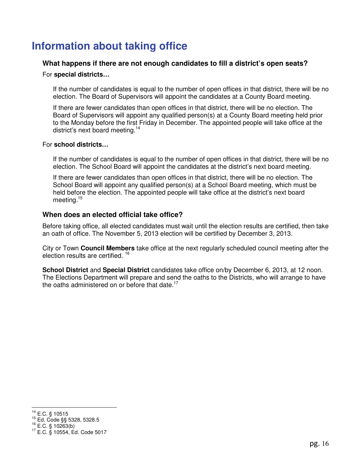# **Information about taking office**

#### **What happens if there are not enough candidates to fill a district's open seats?**

#### For **special districts…**

If the number of candidates is equal to the number of open offices in that district, there will be no election. The Board of Supervisors will appoint the candidates at a County Board meeting.

If there are fewer candidates than open offices in that district, there will be no election. The Board of Supervisors will appoint any qualified person(s) at a County Board meeting held prior to the Monday before the first Friday in December. The appointed people will take office at the district's next board meeting.<sup>14</sup>

#### For **school districts…**

If the number of candidates is equal to the number of open offices in that district, there will be no election. The School Board will appoint the candidates at the district's next board meeting.

If there are fewer candidates than open offices in that district, there will be no election. The School Board will appoint any qualified person(s) at a School Board meeting, which must be held before the election. The appointed people will take office at the district's next board meeting.<sup>15</sup>

#### **When does an elected official take office?**

Before taking office, all elected candidates must wait until the election results are certified, then take an oath of office. The November 5, 2013 election will be certified by December 3, 2013.

City or Town **Council Members** take office at the next regularly scheduled council meeting after the election results are certified. <sup>16</sup>

**School District** and **Special District** candidates take office on/by December 6, 2013, at 12 noon. The Elections Department will prepare and send the oaths to the Districts, who will arrange to have the oaths administered on or before that date.<sup>17</sup>

 $\overline{a}$  $^{14}$  E.C. § 10515

<sup>15</sup> Ed. Code §§ 5328, 5328.5

 $^{16}$  E.C. § 10263(b)

<sup>17</sup> E.C. § 10554, Ed. Code 5017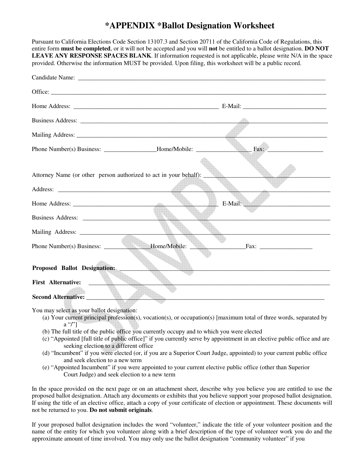## **\*APPENDIX \*Ballot Designation Worksheet**

Pursuant to California Elections Code Section 13107.3 and Section 20711 of the California Code of Regulations, this entire form **must be completed**, or it will not be accepted and you will **not** be entitled to a ballot designation. **DO NOT LEAVE ANY RESPONSE SPACES BLANK**. If information requested is not applicable, please write N/A in the space provided. Otherwise the information MUST be provided. Upon filing, this worksheet will be a public record.

| Attorney Name (or other person authorized to act in your behalf): |                                                  |
|-------------------------------------------------------------------|--------------------------------------------------|
|                                                                   |                                                  |
|                                                                   | E-Mail: E-Mail:                                  |
|                                                                   |                                                  |
|                                                                   |                                                  |
|                                                                   | Phone Number(s) Business: Home/Mobile: Fax: Fax: |
|                                                                   |                                                  |
| Proposed Ballot Designation: _______                              |                                                  |
| <b>First Alternative:</b><br>$\overline{\phantom{a}}$             |                                                  |
| <b>Second Alternative:</b>                                        |                                                  |

You may select as your ballot designation:

- (a) Your current principal profession(s), vocation(s), or occupation(s) [maximum total of three words, separated by  $a''$
- (b) The full title of the public office you currently occupy and to which you were elected
- (c) "Appointed [full title of public office]" if you currently serve by appointment in an elective public office and are seeking election to a different office
- (d) "Incumbent" if you were elected (or, if you are a Superior Court Judge, appointed) to your current public office and seek election to a new term
- (e) "Appointed Incumbent" if you were appointed to your current elective public office (other than Superior Court Judge) and seek election to a new term

In the space provided on the next page or on an attachment sheet, describe why you believe you are entitled to use the proposed ballot designation. Attach any documents or exhibits that you believe support your proposed ballot designation. If using the title of an elective office, attach a copy of your certificate of election or appointment. These documents will not be returned to you. **Do not submit originals**.

If your proposed ballot designation includes the word "volunteer," indicate the title of your volunteer position and the name of the entity for which you volunteer along with a brief description of the type of volunteer work you do and the approximate amount of time involved. You may only use the ballot designation "community volunteer" if you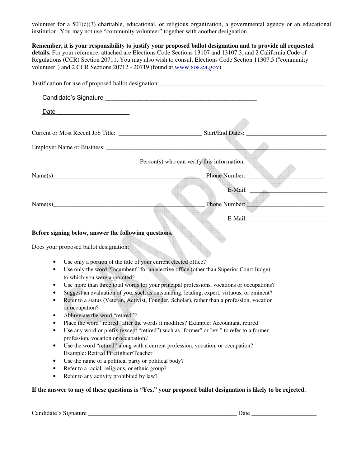volunteer for a 501(c)(3) charitable, educational, or religious organization, a governmental agency or an educational institution. You may not use "community volunteer" together with another designation.

**Remember, it is your responsibility to justify your proposed ballot designation and to provide all requested details.** For your reference, attached are Elections Code Sections 13107 and 13107.3, and 2 California Code of Regulations (CCR) Section 20711. You may also wish to consult Elections Code Section 11307.5 ("community volunteer") and 2 CCR Sections 20712 - 20719 (found at www.sos.ca.gov).

|                                                                                                                | Justification for use of proposed ballot designation:                                                        |
|----------------------------------------------------------------------------------------------------------------|--------------------------------------------------------------------------------------------------------------|
| Candidate's Signature Manual Account Candidate's Signature Manual Account Candidate's Signature Manual Account |                                                                                                              |
| Date                                                                                                           |                                                                                                              |
|                                                                                                                |                                                                                                              |
| Current or Most Recent Job Title: ___________________________________Start/End Dates:                          |                                                                                                              |
|                                                                                                                |                                                                                                              |
|                                                                                                                |                                                                                                              |
|                                                                                                                | Person(s) who can verify this information:                                                                   |
|                                                                                                                | Phone Number: ____                                                                                           |
|                                                                                                                |                                                                                                              |
|                                                                                                                |                                                                                                              |
| Name(s)                                                                                                        | $\overline{\phantom{a}}$<br>Phone Number:                                                                    |
|                                                                                                                |                                                                                                              |
| Before signing below, answer the following questions.                                                          |                                                                                                              |
|                                                                                                                |                                                                                                              |
| Does your proposed ballot designation:                                                                         |                                                                                                              |
| Use only a portion of the title of your current elected office?                                                |                                                                                                              |
|                                                                                                                | Use only the word "Incumbent" for an elective office (other than Superior Court Judge)                       |
| to which you were appointed?                                                                                   |                                                                                                              |
|                                                                                                                | Use more than three total words for your principal professions, vocations or occupations?                    |
|                                                                                                                | Suggest an evaluation of you, such as outstanding, leading, expert, virtuous, or eminent?                    |
| or occupation?                                                                                                 | Refer to a status (Veteran, Activist, Founder, Scholar), rather than a profession, vocation                  |
| Abbreviate the word "retired"?                                                                                 |                                                                                                              |
|                                                                                                                | Place the word "retired" after the words it modifies? Example: Accountant, retired                           |
|                                                                                                                | Use any word or prefix (except "retired") such as "former" or "ex-" to refer to a former                     |
| profession, vocation or occupation?                                                                            |                                                                                                              |
| ٠                                                                                                              | Use the word "retired" along with a current profession, vocation, or occupation?                             |
| Example: Retired Firefighter/Teacher                                                                           |                                                                                                              |
| Use the name of a political party or political body?<br>$\bullet$                                              |                                                                                                              |
| Refer to a racial, religious, or ethnic group?<br>Refer to any activity prohibited by law?<br>٠                |                                                                                                              |
|                                                                                                                |                                                                                                              |
|                                                                                                                | If the answer to any of these questions is "Yes," your proposed ballot designation is likely to be rejected. |

Candidate's Signature \_\_\_\_\_\_\_\_\_\_\_\_\_\_\_\_\_\_\_\_\_\_\_\_\_\_\_\_\_\_\_\_\_\_\_\_\_\_\_\_\_\_\_\_\_\_\_\_ Date \_\_\_\_\_\_\_\_\_\_\_\_\_\_\_\_\_\_\_\_\_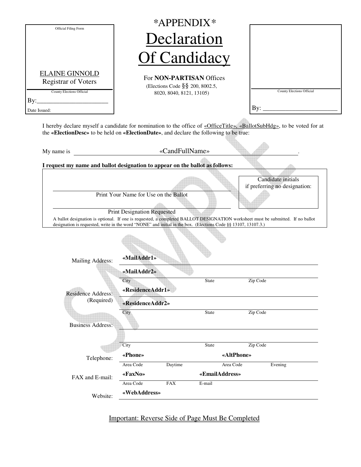| Official Filing Form                                                             |                                                                             | *APPENDIX*                                                                                                     |                                                                                                                                                                                        |
|----------------------------------------------------------------------------------|-----------------------------------------------------------------------------|----------------------------------------------------------------------------------------------------------------|----------------------------------------------------------------------------------------------------------------------------------------------------------------------------------------|
|                                                                                  |                                                                             | Declaration                                                                                                    |                                                                                                                                                                                        |
|                                                                                  |                                                                             | <b>Of Candidacy</b>                                                                                            |                                                                                                                                                                                        |
| <b>ELAINE GINNOLD</b><br><b>Registrar of Voters</b><br>County Elections Official |                                                                             | For <b>NON-PARTISAN</b> Offices<br>(Elections Code §§ 200, 8002.5,<br>8020, 8040, 8121, 13105)                 | County Elections Official                                                                                                                                                              |
| Date Issued:                                                                     |                                                                             |                                                                                                                | By: $\overline{\phantom{a}}$                                                                                                                                                           |
|                                                                                  |                                                                             | the «ElectionDesc» to be held on «ElectionDate», and declare the following to be true:                         | I hereby declare myself a candidate for nomination to the office of «OfficeTitle», «BallotSubHdg», to be voted for at                                                                  |
| My name is                                                                       |                                                                             | «CandFullName»                                                                                                 |                                                                                                                                                                                        |
|                                                                                  |                                                                             | I request my name and ballot designation to appear on the ballot as follows:                                   |                                                                                                                                                                                        |
|                                                                                  | Print Your Name for Use on the Ballot<br><b>Print Designation Requested</b> |                                                                                                                | Candidate initials<br>if preferring no designation:<br>A ballot designation is optional. If one is requested, a completed BALLOT DESIGNATION worksheet must be submitted. If no ballot |
|                                                                                  |                                                                             | designation is requested, write in the word "NONE" and initial in the box. (Elections Code §§ 13107, 13107.3.) |                                                                                                                                                                                        |
|                                                                                  | «MailAddr1»                                                                 |                                                                                                                |                                                                                                                                                                                        |
| <b>Mailing Address:</b>                                                          | «MailAddr2»<br>City<br>«ResidenceAddr1»                                     | <b>State</b>                                                                                                   | Zip Code                                                                                                                                                                               |
| <b>Residence Address:</b><br>(Required)                                          | «ResidenceAddr2»                                                            |                                                                                                                |                                                                                                                                                                                        |
| <b>Business Address:</b>                                                         | City                                                                        | <b>State</b>                                                                                                   | Zip Code                                                                                                                                                                               |
|                                                                                  | City                                                                        | <b>State</b>                                                                                                   | Zip Code                                                                                                                                                                               |
|                                                                                  | «Phone»                                                                     |                                                                                                                | «AltPhone»                                                                                                                                                                             |
| Telephone:<br>FAX and E-mail:                                                    | Area Code<br>«FaxNo»<br>Area Code                                           | Area Code<br>Daytime<br>«EmailAddress»<br><b>FAX</b><br>E-mail                                                 | Evening                                                                                                                                                                                |

# Important: Reverse Side of Page Must Be Completed